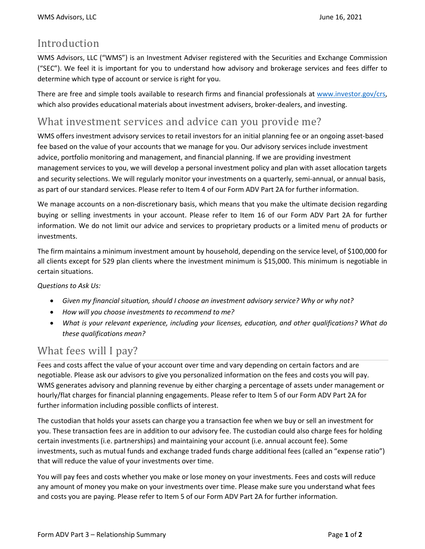### Introduction

WMS Advisors, LLC ("WMS") is an Investment Adviser registered with the Securities and Exchange Commission ("SEC"). We feel it is important for you to understand how advisory and brokerage services and fees differ to determine which type of account or service is right for you.

There are free and simple tools available to research firms and financial professionals at [www.investor.gov/crs,](http://www.investor.gov/crs)  which also provides educational materials about investment advisers, broker-dealers, and investing.

### What investment services and advice can you provide me?

WMS offers investment advisory services to retail investors for an initial planning fee or an ongoing asset-based fee based on the value of your accounts that we manage for you. Our advisory services include investment advice, portfolio monitoring and management, and financial planning. If we are providing investment management services to you, we will develop a personal investment policy and plan with asset allocation targets and security selections. We will regularly monitor your investments on a quarterly, semi-annual, or annual basis, as part of our standard services. Please refer to Item 4 of our Form ADV Part 2A for further information.

We manage accounts on a non-discretionary basis, which means that you make the ultimate decision regarding buying or selling investments in your account. Please refer to Item 16 of our Form ADV Part 2A for further information. We do not limit our advice and services to proprietary products or a limited menu of products or investments.

The firm maintains a minimum investment amount by household, depending on the service level, of \$100,000 for all clients except for 529 plan clients where the investment minimum is \$15,000. This minimum is negotiable in certain situations.

#### *Questions to Ask Us:*

- *Given my financial situation, should I choose an investment advisory service? Why or why not?*
- *How will you choose investments to recommend to me?*
- *What is your relevant experience, including your licenses, education, and other qualifications? What do these qualifications mean?*

## What fees will I pay?

Fees and costs affect the value of your account over time and vary depending on certain factors and are negotiable. Please ask our advisors to give you personalized information on the fees and costs you will pay. WMS generates advisory and planning revenue by either charging a percentage of assets under management or hourly/flat charges for financial planning engagements. Please refer to Item 5 of our Form ADV Part 2A for further information including possible conflicts of interest.

The custodian that holds your assets can charge you a transaction fee when we buy or sell an investment for you. These transaction fees are in addition to our advisory fee. The custodian could also charge fees for holding certain investments (i.e. partnerships) and maintaining your account (i.e. annual account fee). Some investments, such as mutual funds and exchange traded funds charge additional fees (called an "expense ratio") that will reduce the value of your investments over time.

You will pay fees and costs whether you make or lose money on your investments. Fees and costs will reduce any amount of money you make on your investments over time. Please make sure you understand what fees and costs you are paying. Please refer to Item 5 of our Form ADV Part 2A for further information.